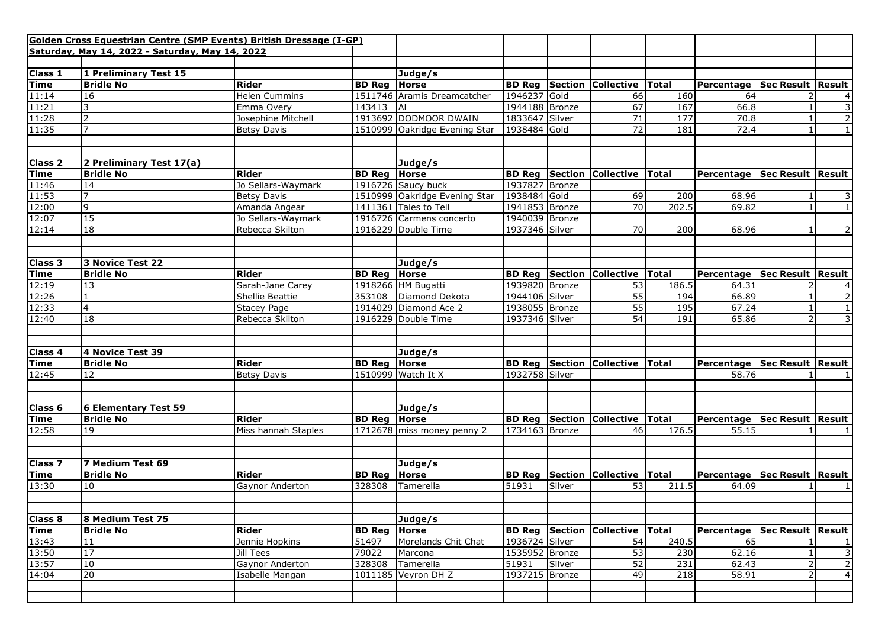|                       | Golden Cross Equestrian Centre (SMP Events) British Dressage (I-GP) |                        |                     |                               |                |        |                                        |       |                                  |                     |                |
|-----------------------|---------------------------------------------------------------------|------------------------|---------------------|-------------------------------|----------------|--------|----------------------------------------|-------|----------------------------------|---------------------|----------------|
|                       | Saturday, May 14, 2022 - Saturday, May 14, 2022                     |                        |                     |                               |                |        |                                        |       |                                  |                     |                |
|                       |                                                                     |                        |                     |                               |                |        |                                        |       |                                  |                     |                |
| Class 1<br>Time       | 1 Preliminary Test 15                                               |                        |                     | Judge/s                       |                |        |                                        |       |                                  |                     |                |
|                       | <b>Bridle No</b>                                                    | <b>Rider</b>           | <b>BD Reg Horse</b> |                               |                |        | <b>BD Reg Section Collective Total</b> |       | Percentage   Sec Result   Result |                     |                |
|                       | 16                                                                  | <b>Helen Cummins</b>   |                     | 1511746 Aramis Dreamcatcher   | 1946237 Gold   |        | 66                                     | 160   | 64                               |                     | 4              |
| $\frac{11:14}{11:21}$ |                                                                     | Emma Overy             | 143413              | AI                            | 1944188 Bronze |        | 67                                     | 167   | 66.8                             |                     | 3              |
| 11:28                 |                                                                     | Josephine Mitchell     |                     | 1913692 DODMOOR DWAIN         | 1833647 Silver |        | $\overline{71}$                        | 177   | 70.8                             |                     | $\overline{2}$ |
| 11:35                 |                                                                     | <b>Betsy Davis</b>     |                     | 1510999 Oakridge Evening Star | 1938484 Gold   |        | 72                                     | 181   | 72.4                             |                     | $\mathbf{1}$   |
|                       |                                                                     |                        |                     |                               |                |        |                                        |       |                                  |                     |                |
|                       |                                                                     |                        |                     |                               |                |        |                                        |       |                                  |                     |                |
| <b>Class 2</b>        | 2 Preliminary Test 17(a)                                            |                        |                     | Judge/s                       |                |        |                                        |       |                                  |                     |                |
| Time                  | <b>Bridle No</b>                                                    | Rider                  | <b>BD Reg Horse</b> |                               |                |        | <b>BD Reg Section Collective Total</b> |       | Percentage   Sec Result   Result |                     |                |
|                       | 14                                                                  | Jo Sellars-Waymark     |                     | 1916726 Saucy buck            | 1937827 Bronze |        |                                        |       |                                  |                     |                |
| $\frac{11:46}{11:53}$ |                                                                     | <b>Betsy Davis</b>     |                     | 1510999 Oakridge Evening Star | 1938484 Gold   |        | 69                                     | 200   | 68.96                            |                     | 3              |
| 12:00                 | 9                                                                   | Amanda Angear          |                     | 1411361 Tales to Tell         | 1941853 Bronze |        | 70                                     | 202.5 | 69.82                            |                     | $\overline{1}$ |
| 12:07                 | 15                                                                  | Jo Sellars-Waymark     |                     | 1916726 Carmens concerto      | 1940039 Bronze |        |                                        |       |                                  |                     |                |
| 12:14                 | $\overline{18}$                                                     | Rebecca Skilton        |                     | 1916229 Double Time           | 1937346 Silver |        | 70                                     | 200   | 68.96                            |                     | 2              |
|                       |                                                                     |                        |                     |                               |                |        |                                        |       |                                  |                     |                |
|                       |                                                                     |                        |                     |                               |                |        |                                        |       |                                  |                     |                |
| <b>Class 3</b>        | 3 Novice Test 22                                                    |                        |                     | Judge/s                       |                |        |                                        |       |                                  |                     |                |
| <b>Time</b>           | <b>Bridle No</b>                                                    | Rider                  | <b>BD Reg Horse</b> |                               |                |        | <b>BD Reg Section Collective Total</b> |       | Percentage                       | Sec Result   Result |                |
| 12:19                 | 13                                                                  | Sarah-Jane Carey       |                     | 1918266 HM Bugatti            | 1939820 Bronze |        | 53                                     | 186.5 | 64.31                            |                     | 4              |
| 12:26                 |                                                                     | Shellie Beattie        |                     | 353108 Diamond Dekota         | 1944106 Silver |        | 55                                     | 194   | 66.89                            |                     | $\overline{2}$ |
| 12:33                 | 4                                                                   | <b>Stacey Page</b>     |                     | 1914029 Diamond Ace 2         | 1938055 Bronze |        | 55                                     | 195   | 67.24                            |                     | 1              |
| 12:40                 | 18                                                                  | Rebecca Skilton        |                     | 1916229 Double Time           | 1937346 Silver |        | 54                                     | 191   | 65.86                            |                     | 3              |
|                       |                                                                     |                        |                     |                               |                |        |                                        |       |                                  |                     |                |
|                       |                                                                     |                        |                     |                               |                |        |                                        |       |                                  |                     |                |
| <b>Class 4</b>        | 4 Novice Test 39                                                    |                        |                     | Judge/s                       |                |        |                                        |       |                                  |                     |                |
| <b>Time</b>           | <b>Bridle No</b>                                                    | Rider                  | <b>BD Reg Horse</b> |                               |                |        | <b>BD Reg Section Collective Total</b> |       | Percentage   Sec Result   Result |                     |                |
| 12:45                 | 12                                                                  | <b>Betsy Davis</b>     |                     | 1510999 Watch It X            | 1932758 Silver |        |                                        |       | 58.76                            |                     |                |
|                       |                                                                     |                        |                     |                               |                |        |                                        |       |                                  |                     |                |
|                       |                                                                     |                        |                     |                               |                |        |                                        |       |                                  |                     |                |
| Class <sub>6</sub>    | 6 Elementary Test 59                                                |                        |                     | Judge/s                       |                |        |                                        |       |                                  |                     |                |
| Time                  | <b>Bridle No</b>                                                    | Rider                  | <b>BD Reg Horse</b> |                               |                |        | <b>BD Reg Section Collective Total</b> |       | Percentage   Sec Result   Result |                     |                |
| 12:58                 | 19                                                                  | Miss hannah Staples    |                     | 1712678 miss money penny 2    | 1734163 Bronze |        | 46                                     | 176.5 | 55.15                            |                     |                |
|                       |                                                                     |                        |                     |                               |                |        |                                        |       |                                  |                     |                |
|                       |                                                                     |                        |                     |                               |                |        |                                        |       |                                  |                     |                |
| <b>Class 7</b>        | 7 Medium Test 69                                                    |                        |                     | Judge/s                       |                |        |                                        |       |                                  |                     |                |
| Time                  | <b>Bridle No</b>                                                    | <b>Rider</b>           | <b>BD Reg Horse</b> |                               | <b>BD Reg</b>  |        | Section Collective Total               |       | Percentage   Sec Result   Result |                     |                |
| 13:30                 | 10                                                                  | <b>Gaynor Anderton</b> | 328308              | Tamerella                     | 51931          | Silver | 53                                     | 211.5 | 64.09                            |                     |                |
|                       |                                                                     |                        |                     |                               |                |        |                                        |       |                                  |                     |                |
|                       |                                                                     |                        |                     |                               |                |        |                                        |       |                                  |                     |                |
| Class 8               | 8 Medium Test 75                                                    |                        |                     | Judge/s                       |                |        |                                        |       |                                  |                     |                |
| <b>Time</b>           | <b>Bridle No</b>                                                    | <b>Rider</b>           | <b>BD Reg Horse</b> |                               |                |        | <b>BD Reg</b> Section Collective Total |       | Percentage Sec Result Result     |                     |                |
| 13:43                 | 11                                                                  | Jennie Hopkins         | 51497               | Morelands Chit Chat           | 1936724 Silver |        | 54                                     | 240.5 | 65                               |                     | 1              |
| 13:50                 | 17                                                                  | Jill Tees              | 79022               | Marcona                       | 1535952 Bronze |        | 53                                     | 230   | 62.16                            |                     | $\overline{3}$ |
| 13:57                 | 10                                                                  | Gaynor Anderton        | 328308              | Tamerella                     | 51931          | Silver | 52                                     | 231   | 62.43                            |                     | $\mathsf{2}$   |
| 14:04                 | 20                                                                  | Isabelle Mangan        |                     | 1011185 Veyron DH Z           | 1937215 Bronze |        | 49                                     | 218   | 58.91                            |                     | $\overline{4}$ |
|                       |                                                                     |                        |                     |                               |                |        |                                        |       |                                  |                     |                |
|                       |                                                                     |                        |                     |                               |                |        |                                        |       |                                  |                     |                |
|                       |                                                                     |                        |                     |                               |                |        |                                        |       |                                  |                     |                |